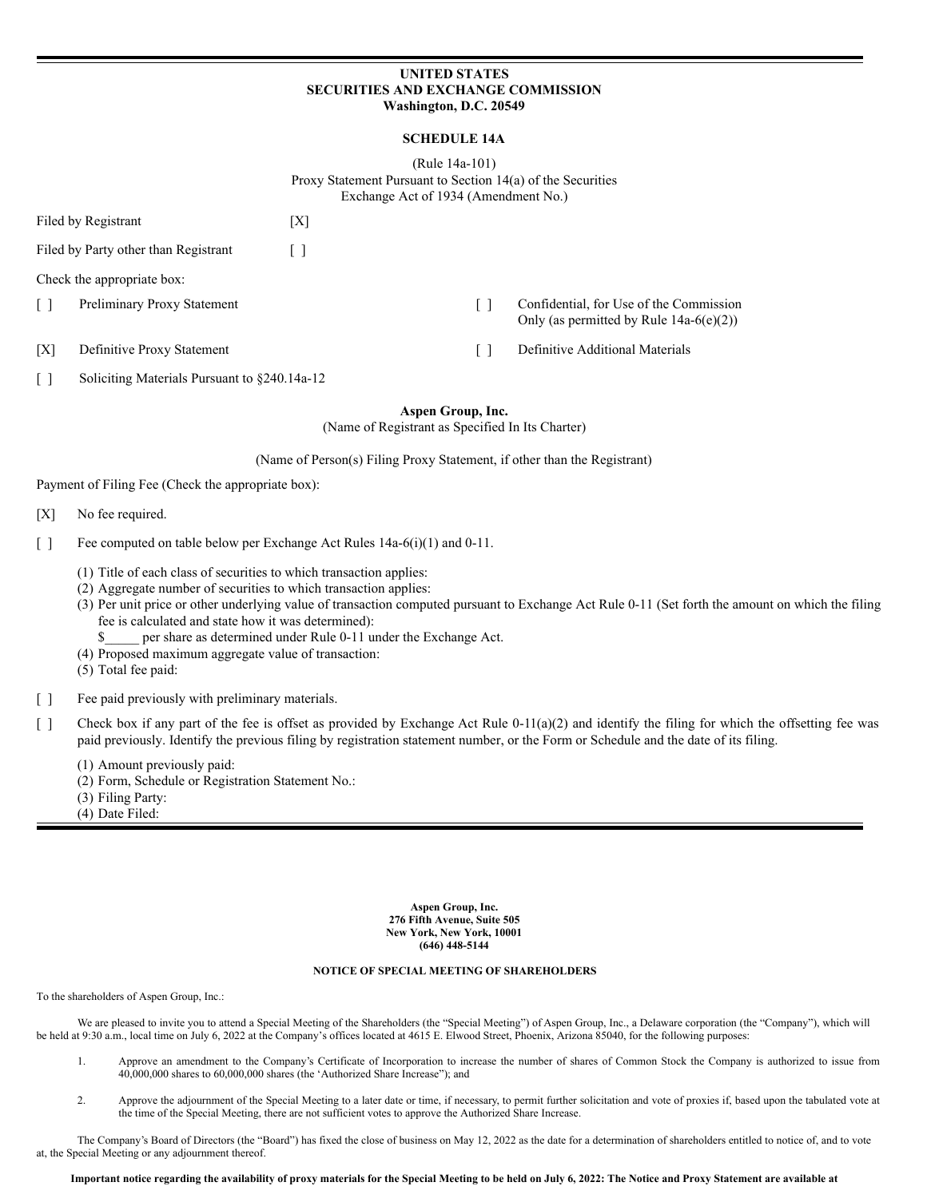# **UNITED STATES SECURITIES AND EXCHANGE COMMISSION Washington, D.C. 20549**

# **SCHEDULE 14A**

(Rule 14a-101) Proxy Statement Pursuant to Section 14(a) of the Securities Exchange Act of 1934 (Amendment No.)

|     | Filed by Registrant                  | X |                                                                                       |
|-----|--------------------------------------|---|---------------------------------------------------------------------------------------|
|     | Filed by Party other than Registrant |   |                                                                                       |
|     | Check the appropriate box:           |   |                                                                                       |
|     | Preliminary Proxy Statement          |   | Confidential, for Use of the Commission<br>Only (as permitted by Rule $14a-6(e)(2)$ ) |
| ΓXΊ | Definitive Proxy Statement           |   | Definitive Additional Materials                                                       |

[ ] Soliciting Materials Pursuant to §240.14a-12

**Aspen Group, Inc.**

(Name of Registrant as Specified In Its Charter)

(Name of Person(s) Filing Proxy Statement, if other than the Registrant)

Payment of Filing Fee (Check the appropriate box):

[X] No fee required.

[ ] Fee computed on table below per Exchange Act Rules 14a-6(i)(1) and 0-11.

- (1) Title of each class of securities to which transaction applies:
- (2) Aggregate number of securities to which transaction applies:
- (3) Per unit price or other underlying value of transaction computed pursuant to Exchange Act Rule 0-11 (Set forth the amount on which the filing fee is calculated and state how it was determined):
	- per share as determined under Rule 0-11 under the Exchange Act.
- (4) Proposed maximum aggregate value of transaction:

(5) Total fee paid:

[ ] Fee paid previously with preliminary materials.

[ ] Check box if any part of the fee is offset as provided by Exchange Act Rule 0-11(a)(2) and identify the filing for which the offsetting fee was paid previously. Identify the previous filing by registration statement number, or the Form or Schedule and the date of its filing.

(1) Amount previously paid:

- (2) Form, Schedule or Registration Statement No.:
- (3) Filing Party:
- (4) Date Filed:

**Aspen Group, Inc. 276 Fifth Avenue, Suite 505 New York, New York, 10001 (646) 448-5144**

# **NOTICE OF SPECIAL MEETING OF SHAREHOLDERS**

To the shareholders of Aspen Group, Inc.:

We are pleased to invite you to attend a Special Meeting of the Shareholders (the "Special Meeting") of Aspen Group, Inc., a Delaware corporation (the "Company"), which will be held at 9:30 a.m., local time on July 6, 2022 at the Company's offices located at 4615 E. Elwood Street, Phoenix, Arizona 85040, for the following purposes:

- 1. Approve an amendment to the Company's Certificate of Incorporation to increase the number of shares of Common Stock the Company is authorized to issue from 40,000,000 shares to 60,000,000 shares (the 'Authorized Share Increase"); and
- 2. Approve the adjournment of the Special Meeting to a later date or time, if necessary, to permit further solicitation and vote of proxies if, based upon the tabulated vote at the time of the Special Meeting, there are not sufficient votes to approve the Authorized Share Increase.

The Company's Board of Directors (the "Board") has fixed the close of business on May 12, 2022 as the date for a determination of shareholders entitled to notice of, and to vote at, the Special Meeting or any adjournment thereof.

#### Important notice regarding the availability of proxy materials for the Special Meeting to be held on July 6, 2022: The Notice and Proxy Statement are available at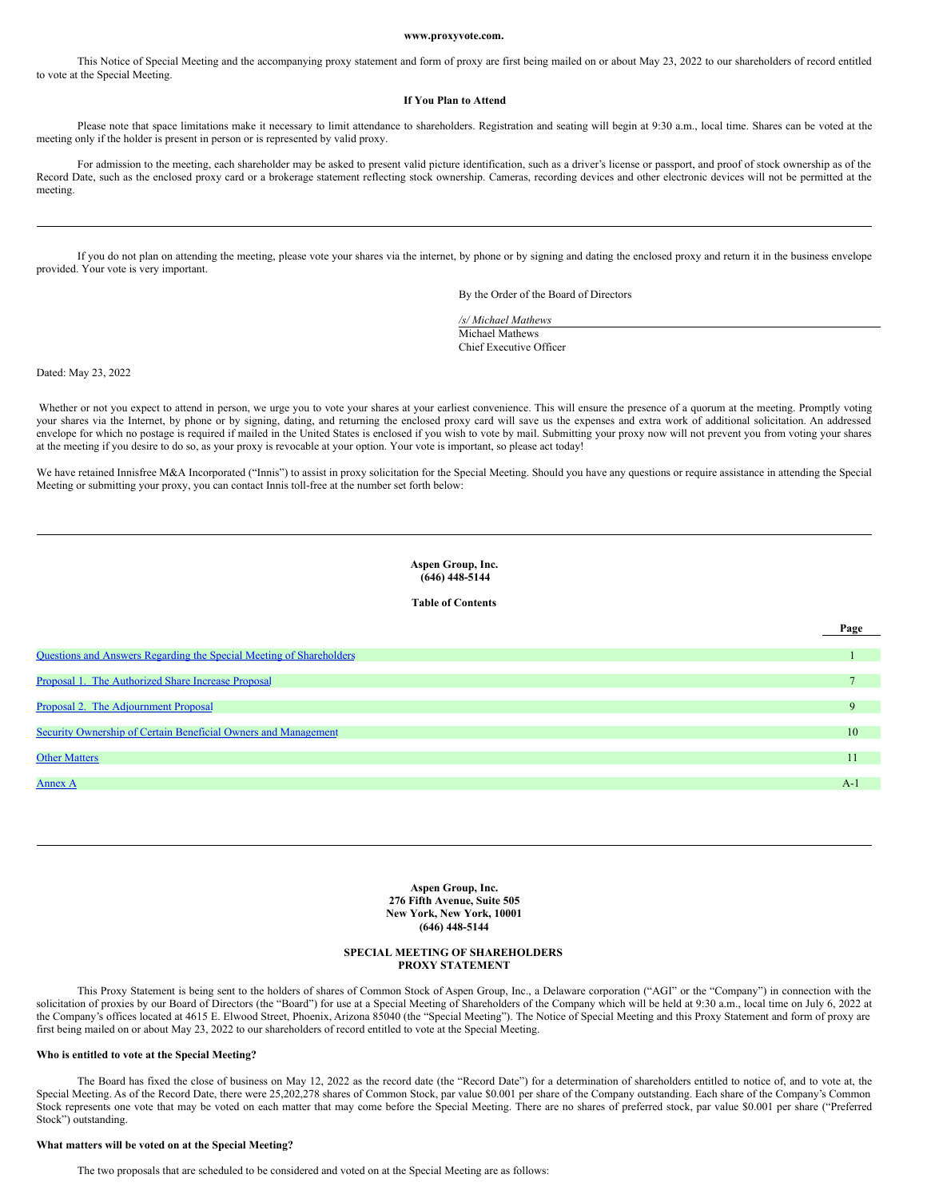#### **www.proxyvote.com.**

This Notice of Special Meeting and the accompanying proxy statement and form of proxy are first being mailed on or about May 23, 2022 to our shareholders of record entitled to vote at the Special Meeting.

# **If You Plan to Attend**

Please note that space limitations make it necessary to limit attendance to shareholders. Registration and seating will begin at 9:30 a.m., local time. Shares can be voted at the meeting only if the holder is present in person or is represented by valid proxy.

For admission to the meeting, each shareholder may be asked to present valid picture identification, such as a driver's license or passport, and proof of stock ownership as of the Record Date, such as the enclosed proxy card or a brokerage statement reflecting stock ownership. Cameras, recording devices and other electronic devices will not be permitted at the meeting.

If you do not plan on attending the meeting, please vote your shares via the internet, by phone or by signing and dating the enclosed proxy and return it in the business envelope provided. Your vote is very important.

By the Order of the Board of Directors

**Page**

*/s/ Michael Mathews* Michael Mathews Chief Executive Officer

Dated: May 23, 2022

Whether or not you expect to attend in person, we urge you to vote your shares at your earliest convenience. This will ensure the presence of a quorum at the meeting. Promptly voting your shares via the Internet, by phone or by signing, dating, and returning the enclosed proxy card will save us the expenses and extra work of additional solicitation. An addressed envelope for which no postage is required if mailed in the United States is enclosed if you wish to vote by mail. Submitting your proxy now will not prevent you from voting your shares at the meeting if you desire to do so, as your proxy is revocable at your option. Your vote is important, so please act today!

We have retained Innisfree M&A Incorporated ("Innis") to assist in proxy solicitation for the Special Meeting. Should you have any questions or require assistance in attending the Special Meeting or submitting your proxy, you can contact Innis toll-free at the number set forth below:

> **Aspen Group, Inc. (646) 448-5144**

#### **Table of Contents**

| Questions and Answers Regarding the Special Meeting of Shareholders |       |
|---------------------------------------------------------------------|-------|
|                                                                     |       |
| Proposal 1. The Authorized Share Increase Proposal                  |       |
|                                                                     |       |
| Proposal 2. The Adjournment Proposal                                | 9     |
|                                                                     |       |
| Security Ownership of Certain Beneficial Owners and Management      | 10    |
|                                                                     |       |
| <b>Other Matters</b>                                                | 11    |
|                                                                     |       |
| Annex A                                                             | $A-1$ |
|                                                                     |       |

<span id="page-1-0"></span>**Aspen Group, Inc. 276 Fifth Avenue, Suite 505 New York, New York, 10001 (646) 448-5144**

# **SPECIAL MEETING OF SHAREHOLDERS PROXY STATEMENT**

This Proxy Statement is being sent to the holders of shares of Common Stock of Aspen Group, Inc., a Delaware corporation ("AGI" or the "Company") in connection with the solicitation of proxies by our Board of Directors (the "Board") for use at a Special Meeting of Shareholders of the Company which will be held at 9:30 a.m., local time on July 6, 2022 at the Company's offices located at 4615 E. Elwood Street, Phoenix, Arizona 85040 (the "Special Meeting"). The Notice of Special Meeting and this Proxy Statement and form of proxy are first being mailed on or about May 23, 2022 to our shareholders of record entitled to vote at the Special Meeting.

# **Who is entitled to vote at the Special Meeting?**

The Board has fixed the close of business on May 12, 2022 as the record date (the "Record Date") for a determination of shareholders entitled to notice of, and to vote at, the Special Meeting. As of the Record Date, there were 25,202,278 shares of Common Stock, par value \$0.001 per share of the Company outstanding. Each share of the Company's Common Stock represents one vote that may be voted on each matter that may come before the Special Meeting. There are no shares of preferred stock, par value \$0.001 per share ("Preferred Stock") outstanding.

# **What matters will be voted on at the Special Meeting?**

The two proposals that are scheduled to be considered and voted on at the Special Meeting are as follows: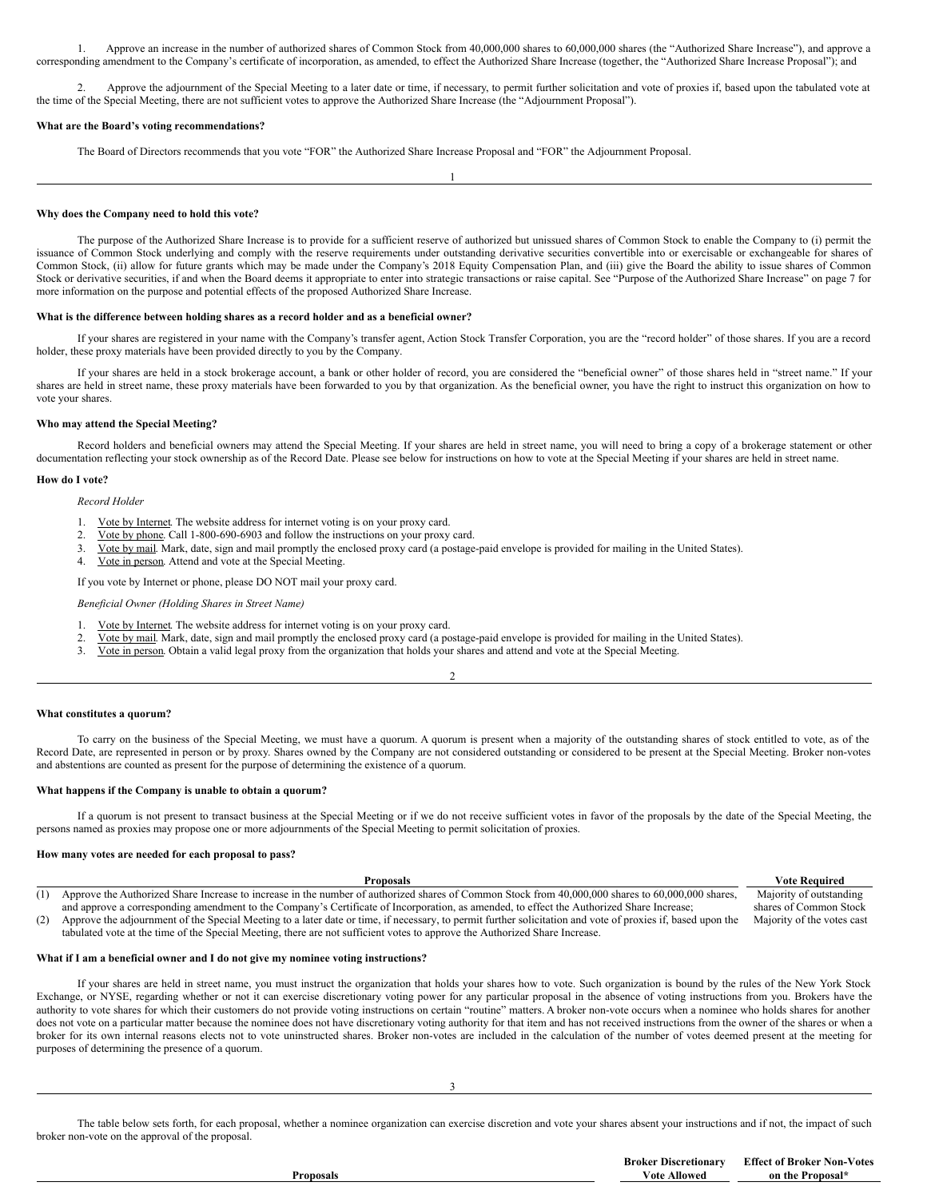1. Approve an increase in the number of authorized shares of Common Stock from 40,000,000 shares to 60,000,000 shares (the "Authorized Share Increase"), and approve a corresponding amendment to the Company's certificate of incorporation, as amended, to effect the Authorized Share Increase (together, the "Authorized Share Increase Proposal"); and

2. Approve the adjournment of the Special Meeting to a later date or time, if necessary, to permit further solicitation and vote of proxies if, based upon the tabulated vote at the time of the Special Meeting, there are not sufficient votes to approve the Authorized Share Increase (the "Adjournment Proposal").

1

#### **What are the Board's voting recommendations?**

The Board of Directors recommends that you vote "FOR" the Authorized Share Increase Proposal and "FOR" the Adjournment Proposal.

# **Why does the Company need to hold this vote?**

The purpose of the Authorized Share Increase is to provide for a sufficient reserve of authorized but unissued shares of Common Stock to enable the Company to (i) permit the issuance of Common Stock underlying and comply with the reserve requirements under outstanding derivative securities convertible into or exercisable or exchangeable for shares of Common Stock, (ii) allow for future grants which may be made under the Company's 2018 Equity Compensation Plan, and (iii) give the Board the ability to issue shares of Common Stock or derivative securities, if and when the Board deems it appropriate to enter into strategic transactions or raise capital. See "Purpose of the Authorized Share Increase" on page 7 for more information on the purpose and potential effects of the proposed Authorized Share Increase.

#### **What is the difference between holding shares as a record holder and as a beneficial owner?**

If your shares are registered in your name with the Company's transfer agent, Action Stock Transfer Corporation, you are the "record holder" of those shares. If you are a record holder, these proxy materials have been provided directly to you by the Company.

If your shares are held in a stock brokerage account, a bank or other holder of record, you are considered the "beneficial owner" of those shares held in "street name." If your shares are held in street name, these proxy materials have been forwarded to you by that organization. As the beneficial owner, you have the right to instruct this organization on how to vote your shares.

#### **Who may attend the Special Meeting?**

Record holders and beneficial owners may attend the Special Meeting. If your shares are held in street name, you will need to bring a copy of a brokerage statement or other documentation reflecting your stock ownership as of the Record Date. Please see below for instructions on how to vote at the Special Meeting if your shares are held in street name.

#### **How do I vote?**

*Record Holder*

- 1. Vote by Internet. The website address for internet voting is on your proxy card.
- 2. Vote by phone. Call 1-800-690-6903 and follow the instructions on your proxy card.
- 3. Vote by mail. Mark, date, sign and mail promptly the enclosed proxy card (a postage-paid envelope is provided for mailing in the United States).
- 4. Vote in person. Attend and vote at the Special Meeting.

If you vote by Internet or phone, please DO NOT mail your proxy card.

*Beneficial Owner (Holding Shares in Street Name)*

- 1. Vote by Internet. The website address for internet voting is on your proxy card.
- 2. Vote by mail. Mark, date, sign and mail promptly the enclosed proxy card (a postage-paid envelope is provided for mailing in the United States).
- 3. Vote in person. Obtain a valid legal proxy from the organization that holds your shares and attend and vote at the Special Meeting.

#### **What constitutes a quorum?**

To carry on the business of the Special Meeting, we must have a quorum. A quorum is present when a majority of the outstanding shares of stock entitled to vote, as of the Record Date, are represented in person or by proxy. Shares owned by the Company are not considered outstanding or considered to be present at the Special Meeting. Broker non-votes and abstentions are counted as present for the purpose of determining the existence of a quorum.

2

#### **What happens if the Company is unable to obtain a quorum?**

If a quorum is not present to transact business at the Special Meeting or if we do not receive sufficient votes in favor of the proposals by the date of the Special Meeting, the persons named as proxies may propose one or more adjournments of the Special Meeting to permit solicitation of proxies.

# **How many votes are needed for each proposal to pass?**

|     | <b>Proposals</b>                                                                                                                                            | <b>Vote Required</b>       |
|-----|-------------------------------------------------------------------------------------------------------------------------------------------------------------|----------------------------|
| (1) | Approve the Authorized Share Increase to increase in the number of authorized shares of Common Stock from 40,000,000 shares to 60,000,000 shares,           | Majority of outstanding    |
|     | and approve a corresponding amendment to the Company's Certificate of Incorporation, as amended, to effect the Authorized Share Increase;                   | shares of Common Stock     |
| (2) | Approve the adjournment of the Special Meeting to a later date or time, if necessary, to permit further solicitation and vote of proxies if, based upon the | Majority of the votes cast |
|     | tabulated vote at the time of the Special Meeting, there are not sufficient votes to approve the Authorized Share Increase.                                 |                            |

#### **What if I am a beneficial owner and I do not give my nominee voting instructions?**

If your shares are held in street name, you must instruct the organization that holds your shares how to vote. Such organization is bound by the rules of the New York Stock Exchange, or NYSE, regarding whether or not it can exercise discretionary voting power for any particular proposal in the absence of voting instructions from you. Brokers have the authority to vote shares for which their customers do not provide voting instructions on certain "routine" matters. A broker non-vote occurs when a nominee who holds shares for another does not vote on a particular matter because the nominee does not have discretionary voting authority for that item and has not received instructions from the owner of the shares or when a broker for its own internal reasons elects not to vote uninstructed shares. Broker non-votes are included in the calculation of the number of votes deemed present at the meeting for purposes of determining the presence of a quorum.

The table below sets forth, for each proposal, whether a nominee organization can exercise discretion and vote your shares absent your instructions and if not, the impact of such broker non-vote on the approval of the proposal.

**Proposals**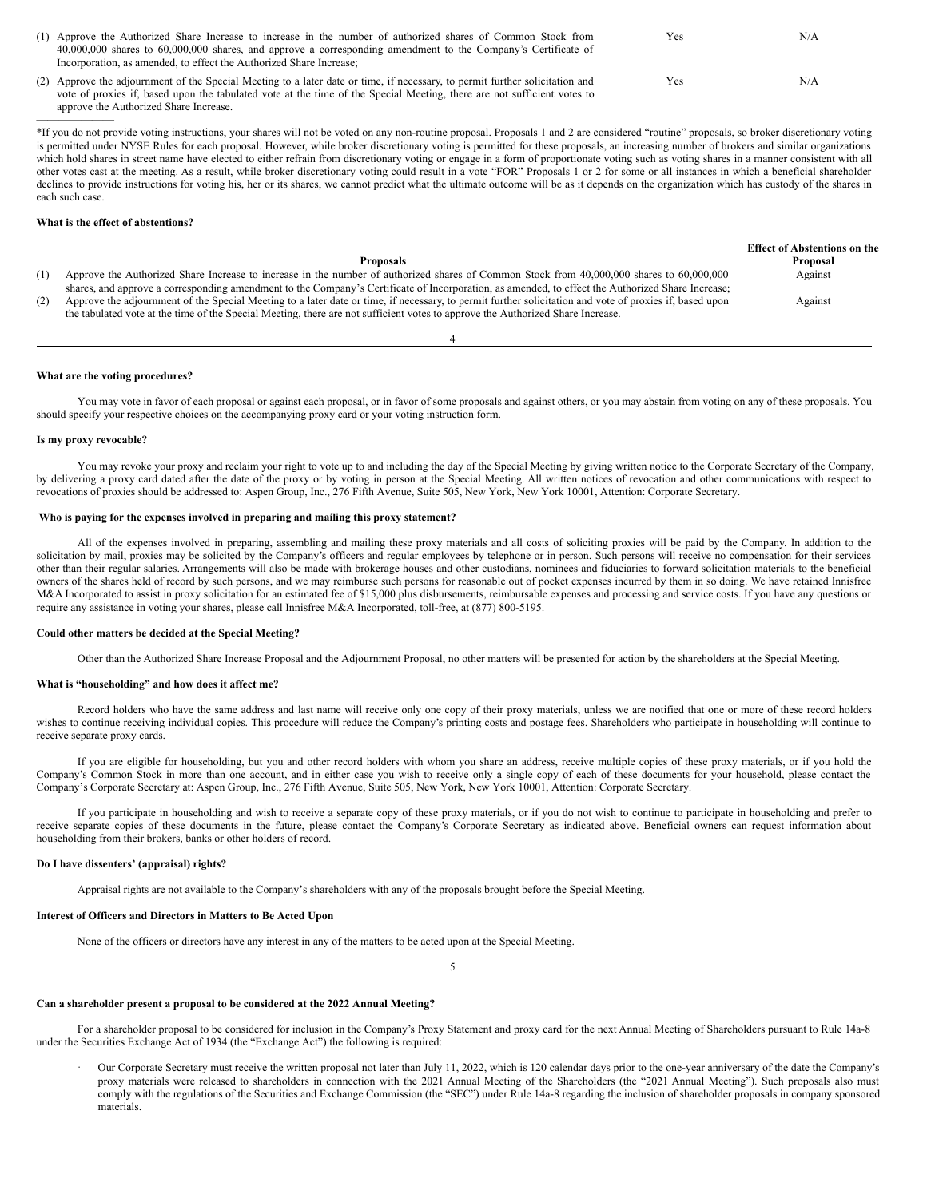| (1) Approve the Authorized Share Increase to increase in the number of authorized shares of Common Stock from                | Yes | N/A |
|------------------------------------------------------------------------------------------------------------------------------|-----|-----|
| 40,000,000 shares to 60,000,000 shares, and approve a corresponding amendment to the Company's Certificate of                |     |     |
| Incorporation, as amended, to effect the Authorized Share Increase;                                                          |     |     |
| (2) Approve the adjournment of the Special Meeting to a later date or time, if necessary, to permit further solicitation and | Yes | N/A |
| vote of proxies if, based upon the tabulated vote at the time of the Special Meeting, there are not sufficient votes to      |     |     |

\*If you do not provide voting instructions, your shares will not be voted on any non-routine proposal. Proposals 1 and 2 are considered "routine" proposals, so broker discretionary voting is permitted under NYSE Rules for each proposal. However, while broker discretionary voting is permitted for these proposals, an increasing number of brokers and similar organizations which hold shares in street name have elected to either refrain from discretionary voting or engage in a form of proportionate voting such as voting shares in a manner consistent with all other votes cast at the meeting. As a result, while broker discretionary voting could result in a vote "FOR" Proposals 1 or 2 for some or all instances in which a beneficial shareholder declines to provide instructions for voting his, her or its shares, we cannot predict what the ultimate outcome will be as it depends on the organization which has custody of the shares in each such case.

# **What is the effect of abstentions?**

———————

approve the Authorized Share Increase.

|     |                                                                                                                                                         | <b>Effect of Abstentions on the</b> |
|-----|---------------------------------------------------------------------------------------------------------------------------------------------------------|-------------------------------------|
|     | <b>Proposals</b>                                                                                                                                        | Proposal                            |
|     | Approve the Authorized Share Increase to increase in the number of authorized shares of Common Stock from 40,000,000 shares to 60,000,000               | Against                             |
|     | shares, and approve a corresponding amendment to the Company's Certificate of Incorporation, as amended, to effect the Authorized Share Increase;       |                                     |
| (2) | Approve the adjournment of the Special Meeting to a later date or time, if necessary, to permit further solicitation and vote of proxies if, based upon | Against                             |
|     | the tabulated vote at the time of the Special Meeting, there are not sufficient votes to approve the Authorized Share Increase.                         |                                     |

4

#### **What are the voting procedures?**

You may vote in favor of each proposal or against each proposal, or in favor of some proposals and against others, or you may abstain from voting on any of these proposals. You should specify your respective choices on the accompanying proxy card or your voting instruction form.

#### **Is my proxy revocable?**

You may revoke your proxy and reclaim your right to vote up to and including the day of the Special Meeting by giving written notice to the Corporate Secretary of the Company, by delivering a proxy card dated after the date of the proxy or by voting in person at the Special Meeting. All written notices of revocation and other communications with respect to revocations of proxies should be addressed to: Aspen Group, Inc., 276 Fifth Avenue, Suite 505, New York, New York 10001, Attention: Corporate Secretary.

#### **Who is paying for the expenses involved in preparing and mailing this proxy statement?**

All of the expenses involved in preparing, assembling and mailing these proxy materials and all costs of soliciting proxies will be paid by the Company. In addition to the solicitation by mail, proxies may be solicited by the Company's officers and regular employees by telephone or in person. Such persons will receive no compensation for their services other than their regular salaries. Arrangements will also be made with brokerage houses and other custodians, nominees and fiduciaries to forward solicitation materials to the beneficial owners of the shares held of record by such persons, and we may reimburse such persons for reasonable out of pocket expenses incurred by them in so doing. We have retained Innisfree M&A Incorporated to assist in proxy solicitation for an estimated fee of \$15,000 plus disbursements, reimbursable expenses and processing and service costs. If you have any questions or require any assistance in voting your shares, please call Innisfree M&A Incorporated, toll-free, at (877) 800-5195.

#### **Could other matters be decided at the Special Meeting?**

Other than the Authorized Share Increase Proposal and the Adjournment Proposal, no other matters will be presented for action by the shareholders at the Special Meeting.

#### **What is "householding" and how does it affect me?**

Record holders who have the same address and last name will receive only one copy of their proxy materials, unless we are notified that one or more of these record holders wishes to continue receiving individual copies. This procedure will reduce the Company's printing costs and postage fees. Shareholders who participate in householding will continue to receive separate proxy cards.

If you are eligible for householding, but you and other record holders with whom you share an address, receive multiple copies of these proxy materials, or if you hold the Company's Common Stock in more than one account, and in either case you wish to receive only a single copy of each of these documents for your household, please contact the Company's Corporate Secretary at: Aspen Group, Inc., 276 Fifth Avenue, Suite 505, New York, New York 10001, Attention: Corporate Secretary.

If you participate in householding and wish to receive a separate copy of these proxy materials, or if you do not wish to continue to participate in householding and prefer to receive separate copies of these documents in the future, please contact the Company's Corporate Secretary as indicated above. Beneficial owners can request information about householding from their brokers, banks or other holders of record.

#### **Do I have dissenters' (appraisal) rights?**

Appraisal rights are not available to the Company's shareholders with any of the proposals brought before the Special Meeting.

#### **Interest of Officers and Directors in Matters to Be Acted Upon**

None of the officers or directors have any interest in any of the matters to be acted upon at the Special Meeting.

5

#### **Can a shareholder present a proposal to be considered at the 2022 Annual Meeting?**

For a shareholder proposal to be considered for inclusion in the Company's Proxy Statement and proxy card for the next Annual Meeting of Shareholders pursuant to Rule 14a-8 under the Securities Exchange Act of 1934 (the "Exchange Act") the following is required:

· Our Corporate Secretary must receive the written proposal not later than July 11, 2022, which is 120 calendar days prior to the one-year anniversary of the date the Company's proxy materials were released to shareholders in connection with the 2021 Annual Meeting of the Shareholders (the "2021 Annual Meeting"). Such proposals also must comply with the regulations of the Securities and Exchange Commission (the "SEC") under Rule 14a-8 regarding the inclusion of shareholder proposals in company sponsored materials.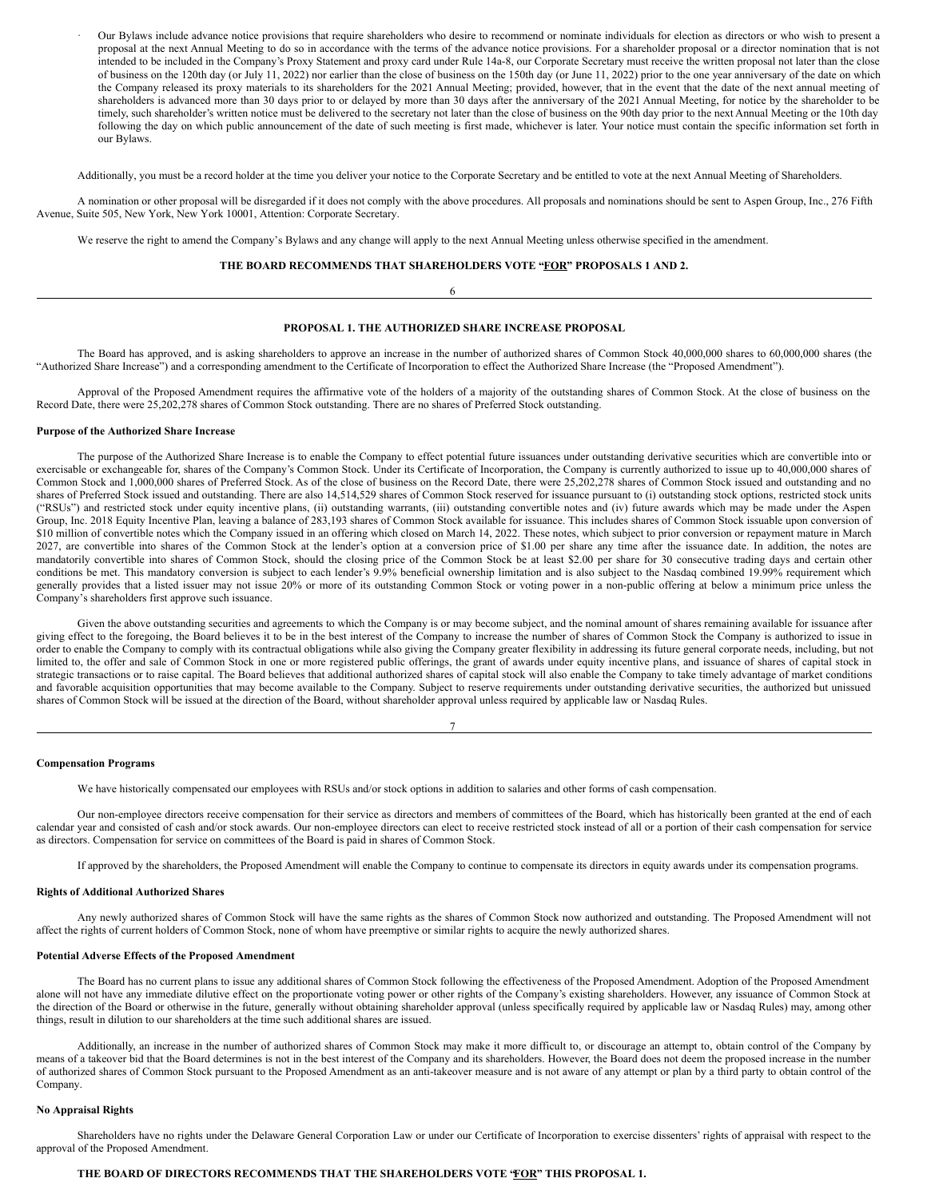· Our Bylaws include advance notice provisions that require shareholders who desire to recommend or nominate individuals for election as directors or who wish to present a proposal at the next Annual Meeting to do so in accordance with the terms of the advance notice provisions. For a shareholder proposal or a director nomination that is not intended to be included in the Company's Proxy Statement and proxy card under Rule 14a-8, our Corporate Secretary must receive the written proposal not later than the close of business on the 120th day (or July 11, 2022) nor earlier than the close of business on the 150th day (or June 11, 2022) prior to the one year anniversary of the date on which the Company released its proxy materials to its shareholders for the 2021 Annual Meeting; provided, however, that in the event that the date of the next annual meeting of shareholders is advanced more than 30 days prior to or delayed by more than 30 days after the anniversary of the 2021 Annual Meeting, for notice by the shareholder to be timely, such shareholder's written notice must be delivered to the secretary not later than the close of business on the 90th day prior to the next Annual Meeting or the 10th day following the day on which public announcement of the date of such meeting is first made, whichever is later. Your notice must contain the specific information set forth in our Bylaws.

Additionally, you must be a record holder at the time you deliver your notice to the Corporate Secretary and be entitled to vote at the next Annual Meeting of Shareholders.

A nomination or other proposal will be disregarded if it does not comply with the above procedures. All proposals and nominations should be sent to Aspen Group, Inc., 276 Fifth Avenue, Suite 505, New York, New York 10001, Attention: Corporate Secretary.

We reserve the right to amend the Company's Bylaws and any change will apply to the next Annual Meeting unless otherwise specified in the amendment.

# **THE BOARD RECOMMENDS THAT SHAREHOLDERS VOTE "FOR" PROPOSALS 1 AND 2.** 6

# <span id="page-4-0"></span>**PROPOSAL 1. THE AUTHORIZED SHARE INCREASE PROPOSAL**

The Board has approved, and is asking shareholders to approve an increase in the number of authorized shares of Common Stock 40,000,000 shares to 60,000,000 shares (the "Authorized Share Increase") and a corresponding amendment to the Certificate of Incorporation to effect the Authorized Share Increase (the "Proposed Amendment").

Approval of the Proposed Amendment requires the affirmative vote of the holders of a majority of the outstanding shares of Common Stock. At the close of business on the Record Date, there were 25,202,278 shares of Common Stock outstanding. There are no shares of Preferred Stock outstanding.

#### **Purpose of the Authorized Share Increase**

The purpose of the Authorized Share Increase is to enable the Company to effect potential future issuances under outstanding derivative securities which are convertible into or exercisable or exchangeable for, shares of the Company's Common Stock. Under its Certificate of Incorporation, the Company is currently authorized to issue up to 40,000,000 shares of Common Stock and 1,000,000 shares of Preferred Stock. As of the close of business on the Record Date, there were 25,202,278 shares of Common Stock issued and outstanding and no shares of Preferred Stock issued and outstanding. There are also 14,514,529 shares of Common Stock reserved for issuance pursuant to (i) outstanding stock options, restricted stock units ("RSUs") and restricted stock under equity incentive plans, (ii) outstanding warrants, (iii) outstanding convertible notes and (iv) future awards which may be made under the Aspen Group, Inc. 2018 Equity Incentive Plan, leaving a balance of 283,193 shares of Common Stock available for issuance. This includes shares of Common Stock issuable upon conversion of \$10 million of convertible notes which the Company issued in an offering which closed on March 14, 2022. These notes, which subject to prior conversion or repayment mature in March 2027, are convertible into shares of the Common Stock at the lender's option at a conversion price of \$1.00 per share any time after the issuance date. In addition, the notes are mandatorily convertible into shares of Common Stock, should the closing price of the Common Stock be at least \$2.00 per share for 30 consecutive trading days and certain other conditions be met. This mandatory conversion is subject to each lender's 9.9% beneficial ownership limitation and is also subject to the Nasdaq combined 19.99% requirement which generally provides that a listed issuer may not issue 20% or more of its outstanding Common Stock or voting power in a non-public offering at below a minimum price unless the Company's shareholders first approve such issuance.

Given the above outstanding securities and agreements to which the Company is or may become subject, and the nominal amount of shares remaining available for issuance after giving effect to the foregoing, the Board believes it to be in the best interest of the Company to increase the number of shares of Common Stock the Company is authorized to issue in order to enable the Company to comply with its contractual obligations while also giving the Company greater flexibility in addressing its future general corporate needs, including, but not limited to, the offer and sale of Common Stock in one or more registered public offerings, the grant of awards under equity incentive plans, and issuance of shares of capital stock in strategic transactions or to raise capital. The Board believes that additional authorized shares of capital stock will also enable the Company to take timely advantage of market conditions and favorable acquisition opportunities that may become available to the Company. Subject to reserve requirements under outstanding derivative securities, the authorized but unissued shares of Common Stock will be issued at the direction of the Board, without shareholder approval unless required by applicable law or Nasdaq Rules.

# **Compensation Programs**

We have historically compensated our employees with RSUs and/or stock options in addition to salaries and other forms of cash compensation.

Our non-employee directors receive compensation for their service as directors and members of committees of the Board, which has historically been granted at the end of each calendar year and consisted of cash and/or stock awards. Our non-employee directors can elect to receive restricted stock instead of all or a portion of their cash compensation for service as directors. Compensation for service on committees of the Board is paid in shares of Common Stock.

If approved by the shareholders, the Proposed Amendment will enable the Company to continue to compensate its directors in equity awards under its compensation programs.

# **Rights of Additional Authorized Shares**

Any newly authorized shares of Common Stock will have the same rights as the shares of Common Stock now authorized and outstanding. The Proposed Amendment will not affect the rights of current holders of Common Stock, none of whom have preemptive or similar rights to acquire the newly authorized shares.

# **Potential Adverse Effects of the Proposed Amendment**

The Board has no current plans to issue any additional shares of Common Stock following the effectiveness of the Proposed Amendment. Adoption of the Proposed Amendment alone will not have any immediate dilutive effect on the proportionate voting power or other rights of the Company's existing shareholders. However, any issuance of Common Stock at the direction of the Board or otherwise in the future, generally without obtaining shareholder approval (unless specifically required by applicable law or Nasdaq Rules) may, among other things, result in dilution to our shareholders at the time such additional shares are issued.

Additionally, an increase in the number of authorized shares of Common Stock may make it more difficult to, or discourage an attempt to, obtain control of the Company by means of a takeover bid that the Board determines is not in the best interest of the Company and its shareholders. However, the Board does not deem the proposed increase in the number of authorized shares of Common Stock pursuant to the Proposed Amendment as an anti-takeover measure and is not aware of any attempt or plan by a third party to obtain control of the Company.

# **No Appraisal Rights**

Shareholders have no rights under the Delaware General Corporation Law or under our Certificate of Incorporation to exercise dissenters' rights of appraisal with respect to the approval of the Proposed Amendment.

# **THE BOARD OF DIRECTORS RECOMMENDS THAT THE SHAREHOLDERS VOTE "FOR" THIS PROPOSAL 1.**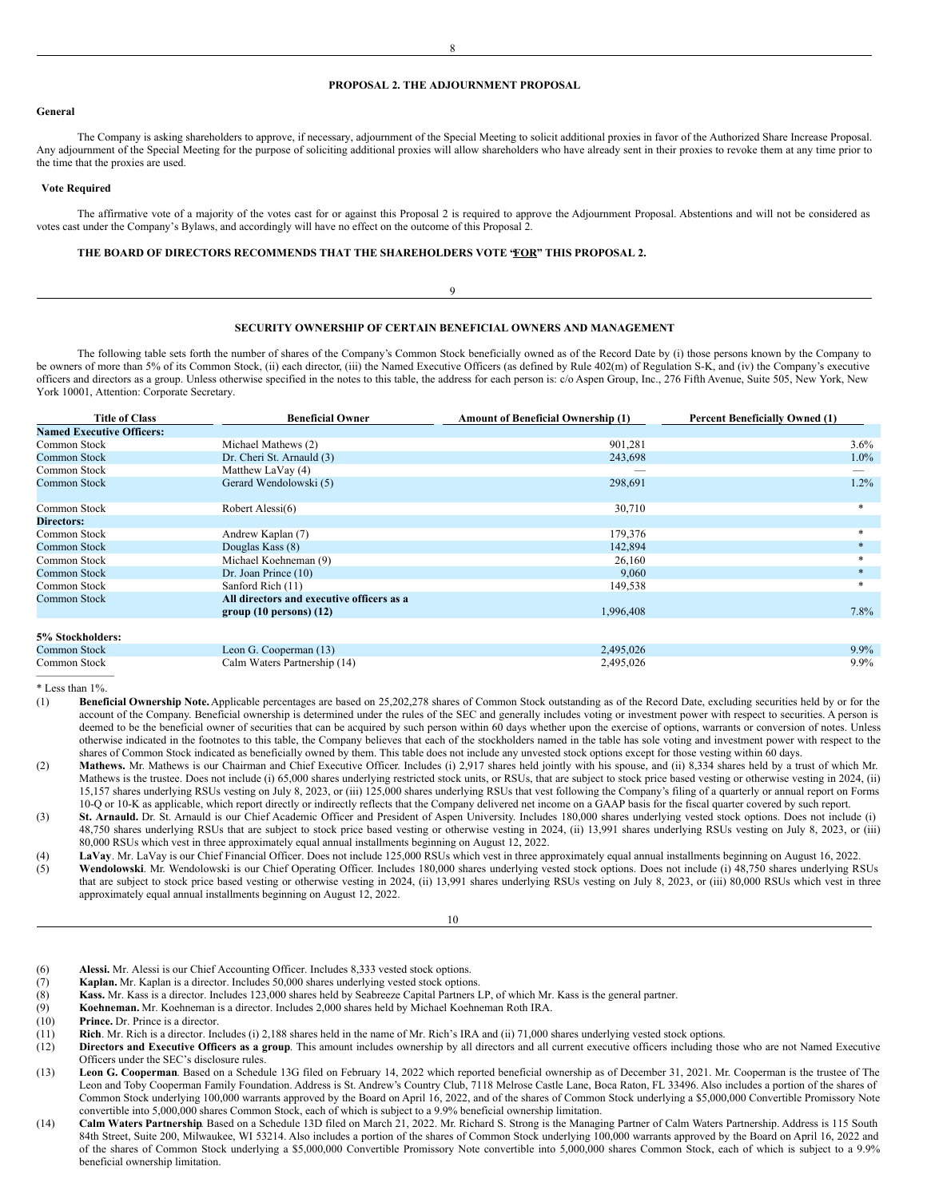# **PROPOSAL 2. THE ADJOURNMENT PROPOSAL**

#### **General**

The Company is asking shareholders to approve, if necessary, adjournment of the Special Meeting to solicit additional proxies in favor of the Authorized Share Increase Proposal. Any adjournment of the Special Meeting for the purpose of soliciting additional proxies will allow shareholders who have already sent in their proxies to revoke them at any time prior to the time that the proxies are used.

#### **Vote Required**

The affirmative vote of a majority of the votes cast for or against this Proposal 2 is required to approve the Adjournment Proposal. Abstentions and will not be considered as votes cast under the Company's Bylaws, and accordingly will have no effect on the outcome of this Proposal 2.

# **THE BOARD OF DIRECTORS RECOMMENDS THAT THE SHAREHOLDERS VOTE "FOR" THIS PROPOSAL 2.**

#### **SECURITY OWNERSHIP OF CERTAIN BENEFICIAL OWNERS AND MANAGEMENT**

<span id="page-5-1"></span><span id="page-5-0"></span>9

The following table sets forth the number of shares of the Company's Common Stock beneficially owned as of the Record Date by (i) those persons known by the Company to be owners of more than 5% of its Common Stock, (ii) each director, (iii) the Named Executive Officers (as defined by Rule 402(m) of Regulation S-K, and (iv) the Company's executive officers and directors as a group. Unless otherwise specified in the notes to this table, the address for each person is: c/o Aspen Group, Inc., 276 Fifth Avenue, Suite 505, New York, New York 10001, Attention: Corporate Secretary.

| $3.6\%$ |
|---------|
| $1.0\%$ |
|         |
| $1.2\%$ |
|         |
| $\ast$  |
|         |
| *       |
|         |
|         |
| $*$     |
| $\ast$  |
|         |
| $7.8\%$ |
|         |
|         |
| $9.9\%$ |
| $9.9\%$ |
|         |

\* Less than 1%.

- (1) **Beneficial Ownership Note.** Applicable percentages are based on 25,202,278 shares of Common Stock outstanding as of the Record Date, excluding securities held by or for the account of the Company. Beneficial ownership is determined under the rules of the SEC and generally includes voting or investment power with respect to securities. A person is deemed to be the beneficial owner of securities that can be acquired by such person within 60 days whether upon the exercise of options, warrants or conversion of notes. Unless otherwise indicated in the footnotes to this table, the Company believes that each of the stockholders named in the table has sole voting and investment power with respect to the shares of Common Stock indicated as beneficially owned by them. This table does not include any unvested stock options except for those vesting within 60 days.
- (2) **Mathews.** Mr. Mathews is our Chairman and Chief Executive Officer. Includes (i) 2,917 shares held jointly with his spouse, and (ii) 8,334 shares held by a trust of which Mr. Mathews is the trustee. Does not include (i) 65,000 shares underlying restricted stock units, or RSUs, that are subject to stock price based vesting or otherwise vesting in 2024, (ii) 15,157 shares underlying RSUs vesting on July 8, 2023, or (iii) 125,000 shares underlying RSUs that vest following the Company's filing of a quarterly or annual report on Forms 10-Q or 10-K as applicable, which report directly or indirectly reflects that the Company delivered net income on a GAAP basis for the fiscal quarter covered by such report.
- (3) **St. Arnauld.** Dr. St. Arnauld is our Chief Academic Officer and President of Aspen University. Includes 180,000 shares underlying vested stock options. Does not include (i) 48,750 shares underlying RSUs that are subject to stock price based vesting or otherwise vesting in 2024, (ii) 13,991 shares underlying RSUs vesting on July 8, 2023, or (iii) 80,000 RSUs which vest in three approximately equal annual installments beginning on August 12, 2022.
- (4) **LaVay**. Mr. LaVay is our Chief Financial Officer. Does not include 125,000 RSUs which vest in three approximately equal annual installments beginning on August 16, 2022.
- (5) **Wendolowski**. Mr. Wendolowski is our Chief Operating Officer. Includes 180,000 shares underlying vested stock options. Does not include (i) 48,750 shares underlying RSUs that are subject to stock price based vesting or otherwise vesting in 2024, (ii) 13,991 shares underlying RSUs vesting on July 8, 2023, or (iii) 80,000 RSUs which vest in three approximately equal annual installments beginning on August 12, 2022.

10

- (6) **Alessi.** Mr. Alessi is our Chief Accounting Officer. Includes 8,333 vested stock options.
- (7) **Kaplan.** Mr. Kaplan is a director. Includes 50,000 shares underlying vested stock options.
- Kass. Mr. Kass is a director. Includes 123,000 shares held by Seabreeze Capital Partners LP, of which Mr. Kass is the general partner.
- (9) **Koehneman.** Mr. Koehneman is a director. Includes 2,000 shares held by Michael Koehneman Roth IRA.
- (10) **Prince.** Dr. Prince is a director.
- (11) **Rich**. Mr. Rich is a director. Includes (i) 2,188 shares held in the name of Mr. Rich's IRA and (ii) 71,000 shares underlying vested stock options.<br>(12) **Directors and Executive Officers as a group**. This amount incl
- Directors and Executive Officers as a group. This amount includes ownership by all directors and all current executive officers including those who are not Named Executive Officers under the SEC's disclosure rules.
- (13) **Leon G. Cooperman**. Based on a Schedule 13G filed on February 14, 2022 which reported beneficial ownership as of December 31, 2021. Mr. Cooperman is the trustee of The Leon and Toby Cooperman Family Foundation. Address is St. Andrew's Country Club, 7118 Melrose Castle Lane, Boca Raton, FL 33496. Also includes a portion of the shares of Common Stock underlying 100,000 warrants approved by the Board on April 16, 2022, and of the shares of Common Stock underlying a \$5,000,000 Convertible Promissory Note convertible into 5,000,000 shares Common Stock, each of which is subject to a 9.9% beneficial ownership limitation.
- (14) **Calm Waters Partnership**. Based on a Schedule 13D filed on March 21, 2022. Mr. Richard S. Strong is the Managing Partner of Calm Waters Partnership. Address is 115 South 84th Street, Suite 200, Milwaukee, WI 53214. Also includes a portion of the shares of Common Stock underlying 100,000 warrants approved by the Board on April 16, 2022 and of the shares of Common Stock underlying a \$5,000,000 Convertible Promissory Note convertible into 5,000,000 shares Common Stock, each of which is subject to a 9.9% beneficial ownership limitation.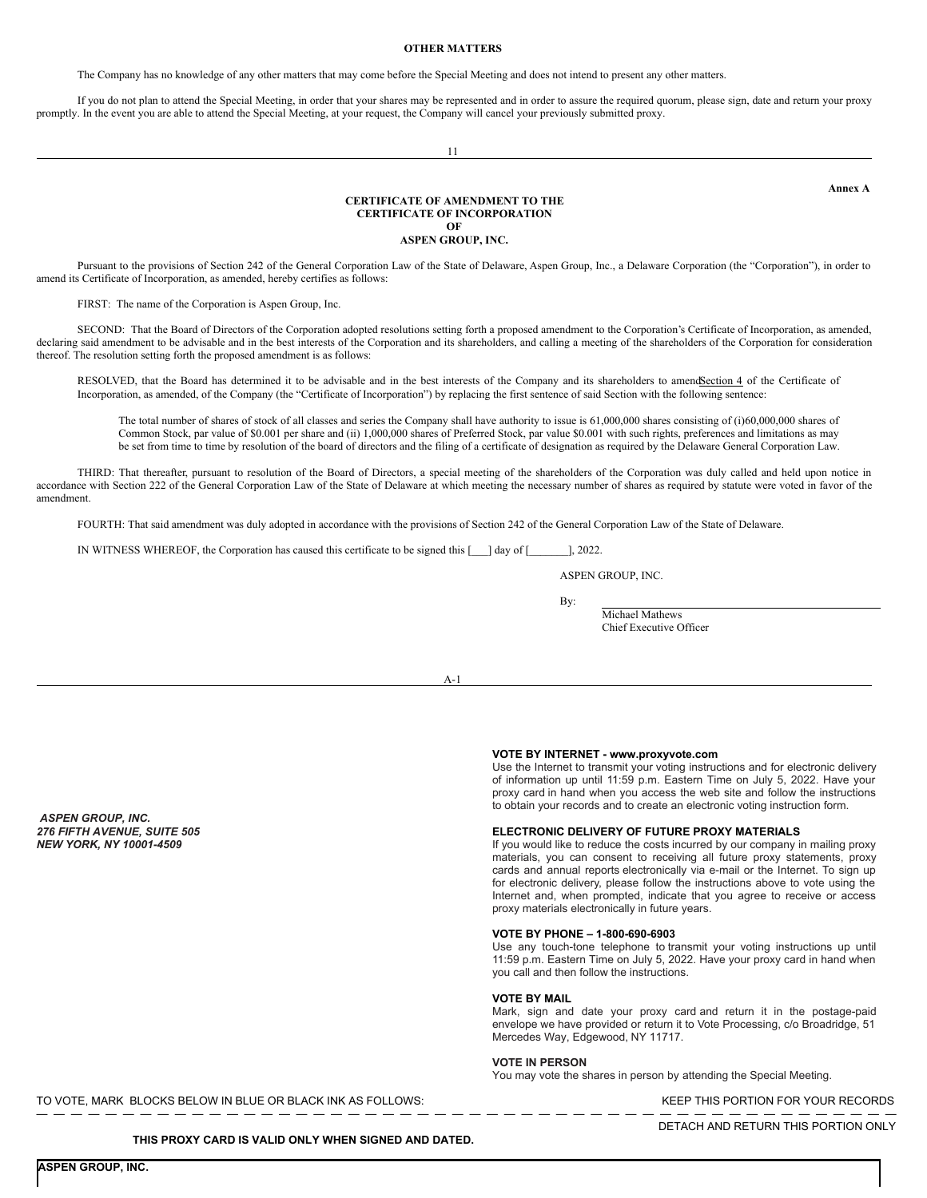# <span id="page-6-0"></span>**OTHER MATTERS**

The Company has no knowledge of any other matters that may come before the Special Meeting and does not intend to present any other matters.

If you do not plan to attend the Special Meeting, in order that your shares may be represented and in order to assure the required quorum, please sign, date and return your proxy promptly. In the event you are able to attend the Special Meeting, at your request, the Company will cancel your previously submitted proxy.

11

#### **CERTIFICATE OF AMENDMENT TO THE CERTIFICATE OF INCORPORATION OF**

**ASPEN GROUP, INC.**

Pursuant to the provisions of Section 242 of the General Corporation Law of the State of Delaware, Aspen Group, Inc., a Delaware Corporation (the "Corporation"), in order to amend its Certificate of Incorporation, as amended, hereby certifies as follows:

FIRST: The name of the Corporation is Aspen Group, Inc.

SECOND: That the Board of Directors of the Corporation adopted resolutions setting forth a proposed amendment to the Corporation's Certificate of Incorporation, as amended, declaring said amendment to be advisable and in the best interests of the Corporation and its shareholders, and calling a meeting of the shareholders of the Corporation for consideration thereof. The resolution setting forth the proposed amendment is as follows:

RESOLVED, that the Board has determined it to be advisable and in the best interests of the Company and its shareholders to amendSection 4 of the Certificate of Incorporation, as amended, of the Company (the "Certificate of Incorporation") by replacing the first sentence of said Section with the following sentence:

The total number of shares of stock of all classes and series the Company shall have authority to issue is 61,000,000 shares consisting of (i)60,000,000 shares of Common Stock, par value of \$0.001 per share and (ii) 1,000,000 shares of Preferred Stock, par value \$0.001 with such rights, preferences and limitations as may be set from time to time by resolution of the board of directors and the filing of a certificate of designation as required by the Delaware General Corporation Law.

THIRD: That thereafter, pursuant to resolution of the Board of Directors, a special meeting of the shareholders of the Corporation was duly called and held upon notice in accordance with Section 222 of the General Corporation Law of the State of Delaware at which meeting the necessary number of shares as required by statute were voted in favor of the amendment.

FOURTH: That said amendment was duly adopted in accordance with the provisions of Section 242 of the General Corporation Law of the State of Delaware.

IN WITNESS WHEREOF, the Corporation has caused this certificate to be signed this [\_\_\_] day of [\_\_\_\_\_\_\_], 2022.

ASPEN GROUP, INC.

By:

Michael Mathews Chief Executive Officer

A-1

*ASPEN GROUP, INC. 276 FIFTH AVENUE, SUITE 505 NEW YORK, NY 10001-4509*

#### **VOTE BY INTERNET - www.proxyvote.com**

Use the Internet to transmit your voting instructions and for electronic delivery of information up until 11:59 p.m. Eastern Time on July 5, 2022. Have your proxy card in hand when you access the web site and follow the instructions to obtain your records and to create an electronic voting instruction form.

# **ELECTRONIC DELIVERY OF FUTURE PROXY MATERIALS**

If you would like to reduce the costs incurred by our company in mailing proxy materials, you can consent to receiving all future proxy statements, proxy cards and annual reports electronically via e-mail or the Internet. To sign up for electronic delivery, please follow the instructions above to vote using the Internet and, when prompted, indicate that you agree to receive or access proxy materials electronically in future years.

#### **VOTE BY PHONE – 1-800-690-6903**

Use any touch-tone telephone to transmit your voting instructions up until 11:59 p.m. Eastern Time on July 5, 2022. Have your proxy card in hand when you call and then follow the instructions.

### **VOTE BY MAIL**

Mark, sign and date your proxy card and return it in the postage-paid envelope we have provided or return it to Vote Processing, c/o Broadridge, 51 Mercedes Way, Edgewood, NY 11717.

#### **VOTE IN PERSON**

You may vote the shares in person by attending the Special Meeting.

TO VOTE, MARK BLOCKS BELOW IN BLUE OR BLACK INK AS FOLLOWS: WE CONSERVED THIS PORTION FOR YOUR RECORDS

— — — — — — — — — — — — — — — — — — — — — — — — — — — — — — — — — — — — — — — — — — — — — — — — — —

**THIS PROXY CARD IS VALID ONLY WHEN SIGNED AND DATED.**

DETACH AND RETURN THIS PORTION ONLY

<span id="page-6-1"></span>**Annex A**